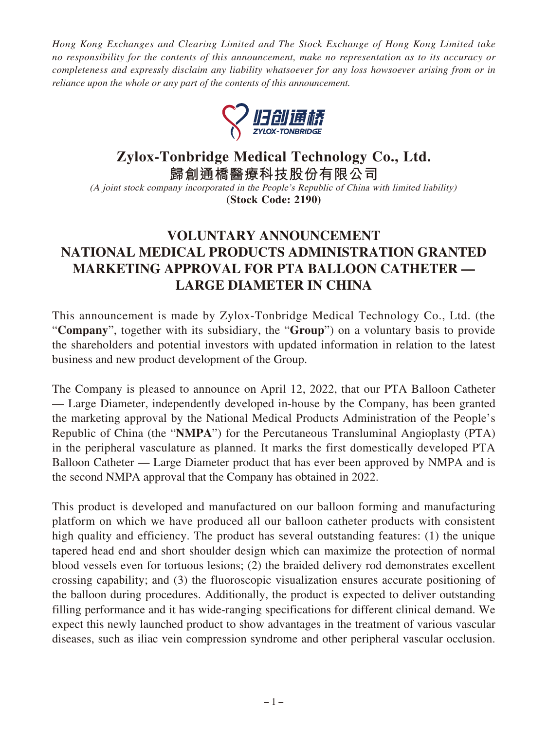*Hong Kong Exchanges and Clearing Limited and The Stock Exchange of Hong Kong Limited take no responsibility for the contents of this announcement, make no representation as to its accuracy or completeness and expressly disclaim any liability whatsoever for any loss howsoever arising from or in reliance upon the whole or any part of the contents of this announcement.*



## **Zylox-Tonbridge Medical Technology Co., Ltd.**

**歸創通橋醫療科技股份有限公司**

(A joint stock company incorporated in the People's Republic of China with limited liability) **(Stock Code: 2190)**

## **VOLUNTARY ANNOUNCEMENT NATIONAL MEDICAL PRODUCTS ADMINISTRATION GRANTED MARKETING APPROVAL FOR PTA BALLOON CATHETER — LARGE DIAMETER IN CHINA**

This announcement is made by Zylox-Tonbridge Medical Technology Co., Ltd. (the "**Company**", together with its subsidiary, the "**Group**") on a voluntary basis to provide the shareholders and potential investors with updated information in relation to the latest business and new product development of the Group.

The Company is pleased to announce on April 12, 2022, that our PTA Balloon Catheter — Large Diameter, independently developed in-house by the Company, has been granted the marketing approval by the National Medical Products Administration of the People's Republic of China (the "**NMPA**") for the Percutaneous Transluminal Angioplasty (PTA) in the peripheral vasculature as planned. It marks the first domestically developed PTA Balloon Catheter — Large Diameter product that has ever been approved by NMPA and is the second NMPA approval that the Company has obtained in 2022.

This product is developed and manufactured on our balloon forming and manufacturing platform on which we have produced all our balloon catheter products with consistent high quality and efficiency. The product has several outstanding features: (1) the unique tapered head end and short shoulder design which can maximize the protection of normal blood vessels even for tortuous lesions; (2) the braided delivery rod demonstrates excellent crossing capability; and (3) the fluoroscopic visualization ensures accurate positioning of the balloon during procedures. Additionally, the product is expected to deliver outstanding filling performance and it has wide-ranging specifications for different clinical demand. We expect this newly launched product to show advantages in the treatment of various vascular diseases, such as iliac vein compression syndrome and other peripheral vascular occlusion.